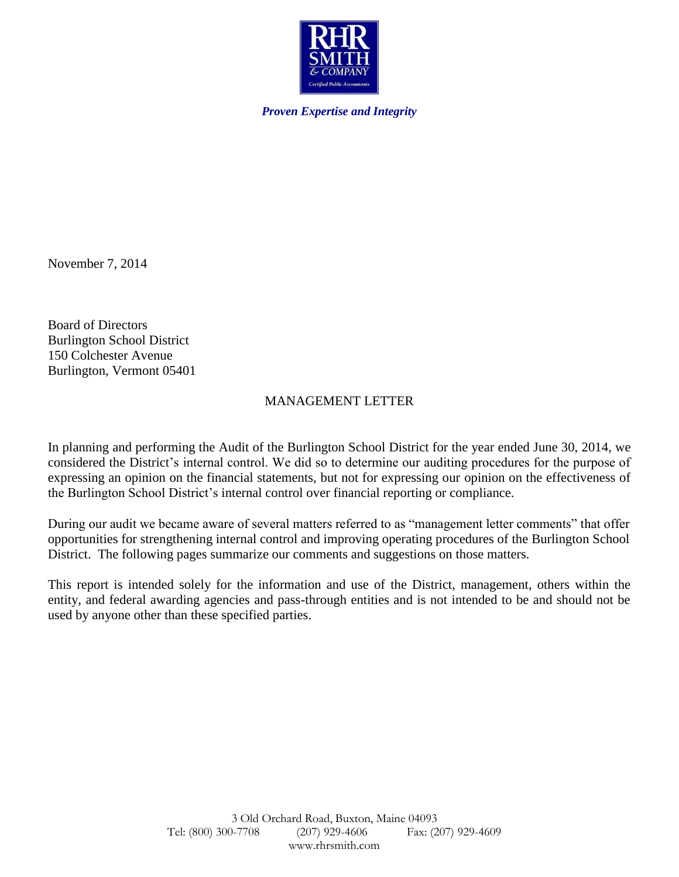

*Proven Expertise and Integrity*

November 7, 2014

Board of Directors Burlington School District 150 Colchester Avenue Burlington, Vermont 05401

# MANAGEMENT LETTER

In planning and performing the Audit of the Burlington School District for the year ended June 30, 2014, we considered the District's internal control. We did so to determine our auditing procedures for the purpose of expressing an opinion on the financial statements, but not for expressing our opinion on the effectiveness of the Burlington School District's internal control over financial reporting or compliance.

During our audit we became aware of several matters referred to as "management letter comments" that offer opportunities for strengthening internal control and improving operating procedures of the Burlington School District. The following pages summarize our comments and suggestions on those matters.

This report is intended solely for the information and use of the District, management, others within the entity, and federal awarding agencies and pass-through entities and is not intended to be and should not be used by anyone other than these specified parties.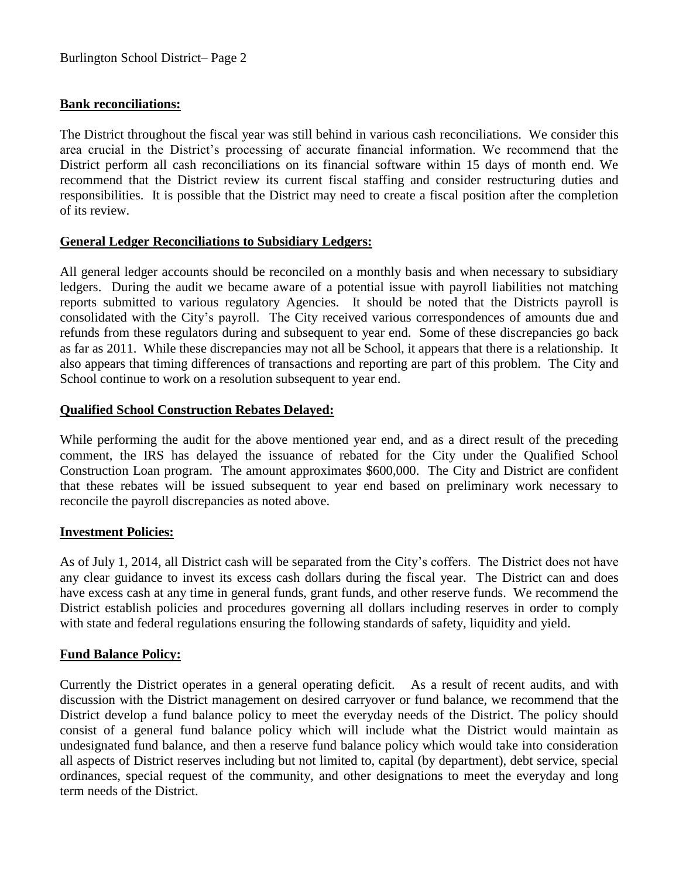### **Bank reconciliations:**

The District throughout the fiscal year was still behind in various cash reconciliations. We consider this area crucial in the District's processing of accurate financial information. We recommend that the District perform all cash reconciliations on its financial software within 15 days of month end. We recommend that the District review its current fiscal staffing and consider restructuring duties and responsibilities. It is possible that the District may need to create a fiscal position after the completion of its review.

### **General Ledger Reconciliations to Subsidiary Ledgers:**

All general ledger accounts should be reconciled on a monthly basis and when necessary to subsidiary ledgers. During the audit we became aware of a potential issue with payroll liabilities not matching reports submitted to various regulatory Agencies. It should be noted that the Districts payroll is consolidated with the City's payroll. The City received various correspondences of amounts due and refunds from these regulators during and subsequent to year end. Some of these discrepancies go back as far as 2011. While these discrepancies may not all be School, it appears that there is a relationship. It also appears that timing differences of transactions and reporting are part of this problem. The City and School continue to work on a resolution subsequent to year end.

### **Qualified School Construction Rebates Delayed:**

While performing the audit for the above mentioned year end, and as a direct result of the preceding comment, the IRS has delayed the issuance of rebated for the City under the Qualified School Construction Loan program. The amount approximates \$600,000. The City and District are confident that these rebates will be issued subsequent to year end based on preliminary work necessary to reconcile the payroll discrepancies as noted above.

#### **Investment Policies:**

As of July 1, 2014, all District cash will be separated from the City's coffers. The District does not have any clear guidance to invest its excess cash dollars during the fiscal year. The District can and does have excess cash at any time in general funds, grant funds, and other reserve funds. We recommend the District establish policies and procedures governing all dollars including reserves in order to comply with state and federal regulations ensuring the following standards of safety, liquidity and yield.

#### **Fund Balance Policy:**

Currently the District operates in a general operating deficit. As a result of recent audits, and with discussion with the District management on desired carryover or fund balance, we recommend that the District develop a fund balance policy to meet the everyday needs of the District. The policy should consist of a general fund balance policy which will include what the District would maintain as undesignated fund balance, and then a reserve fund balance policy which would take into consideration all aspects of District reserves including but not limited to, capital (by department), debt service, special ordinances, special request of the community, and other designations to meet the everyday and long term needs of the District.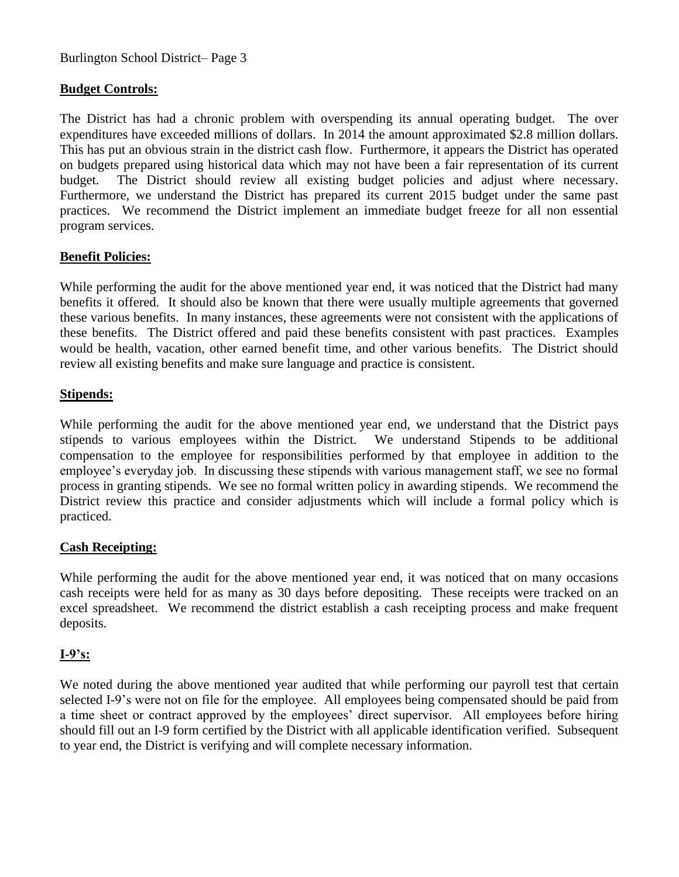Burlington School District– Page 3

### **Budget Controls:**

The District has had a chronic problem with overspending its annual operating budget. The over expenditures have exceeded millions of dollars. In 2014 the amount approximated \$2.8 million dollars. This has put an obvious strain in the district cash flow. Furthermore, it appears the District has operated on budgets prepared using historical data which may not have been a fair representation of its current budget. The District should review all existing budget policies and adjust where necessary. Furthermore, we understand the District has prepared its current 2015 budget under the same past practices. We recommend the District implement an immediate budget freeze for all non essential program services.

### **Benefit Policies:**

While performing the audit for the above mentioned year end, it was noticed that the District had many benefits it offered. It should also be known that there were usually multiple agreements that governed these various benefits. In many instances, these agreements were not consistent with the applications of these benefits. The District offered and paid these benefits consistent with past practices. Examples would be health, vacation, other earned benefit time, and other various benefits. The District should review all existing benefits and make sure language and practice is consistent.

#### **Stipends:**

While performing the audit for the above mentioned year end, we understand that the District pays stipends to various employees within the District. We understand Stipends to be additional compensation to the employee for responsibilities performed by that employee in addition to the employee's everyday job. In discussing these stipends with various management staff, we see no formal process in granting stipends. We see no formal written policy in awarding stipends. We recommend the District review this practice and consider adjustments which will include a formal policy which is practiced.

## **Cash Receipting:**

While performing the audit for the above mentioned year end, it was noticed that on many occasions cash receipts were held for as many as 30 days before depositing. These receipts were tracked on an excel spreadsheet. We recommend the district establish a cash receipting process and make frequent deposits.

#### **I-9's:**

We noted during the above mentioned year audited that while performing our payroll test that certain selected I-9's were not on file for the employee. All employees being compensated should be paid from a time sheet or contract approved by the employees' direct supervisor. All employees before hiring should fill out an I-9 form certified by the District with all applicable identification verified. Subsequent to year end, the District is verifying and will complete necessary information.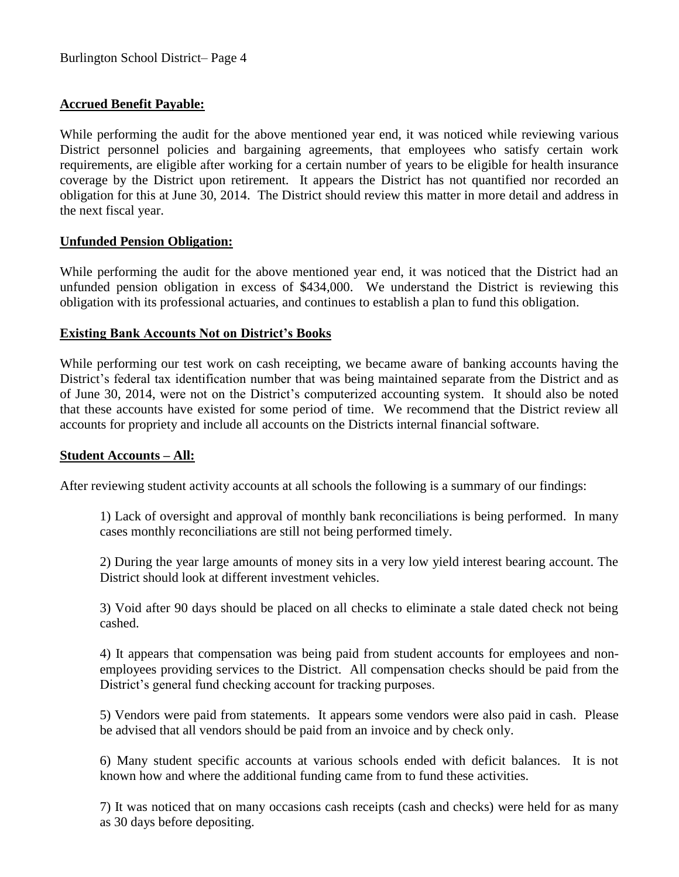### **Accrued Benefit Payable:**

While performing the audit for the above mentioned year end, it was noticed while reviewing various District personnel policies and bargaining agreements, that employees who satisfy certain work requirements, are eligible after working for a certain number of years to be eligible for health insurance coverage by the District upon retirement. It appears the District has not quantified nor recorded an obligation for this at June 30, 2014. The District should review this matter in more detail and address in the next fiscal year.

#### **Unfunded Pension Obligation:**

While performing the audit for the above mentioned year end, it was noticed that the District had an unfunded pension obligation in excess of \$434,000. We understand the District is reviewing this obligation with its professional actuaries, and continues to establish a plan to fund this obligation.

### **Existing Bank Accounts Not on District's Books**

While performing our test work on cash receipting, we became aware of banking accounts having the District's federal tax identification number that was being maintained separate from the District and as of June 30, 2014, were not on the District's computerized accounting system. It should also be noted that these accounts have existed for some period of time. We recommend that the District review all accounts for propriety and include all accounts on the Districts internal financial software.

#### **Student Accounts – All:**

After reviewing student activity accounts at all schools the following is a summary of our findings:

1) Lack of oversight and approval of monthly bank reconciliations is being performed. In many cases monthly reconciliations are still not being performed timely.

2) During the year large amounts of money sits in a very low yield interest bearing account. The District should look at different investment vehicles.

3) Void after 90 days should be placed on all checks to eliminate a stale dated check not being cashed.

 4) It appears that compensation was being paid from student accounts for employees and nonemployees providing services to the District. All compensation checks should be paid from the District's general fund checking account for tracking purposes.

5) Vendors were paid from statements. It appears some vendors were also paid in cash. Please be advised that all vendors should be paid from an invoice and by check only.

6) Many student specific accounts at various schools ended with deficit balances. It is not known how and where the additional funding came from to fund these activities.

7) It was noticed that on many occasions cash receipts (cash and checks) were held for as many as 30 days before depositing.